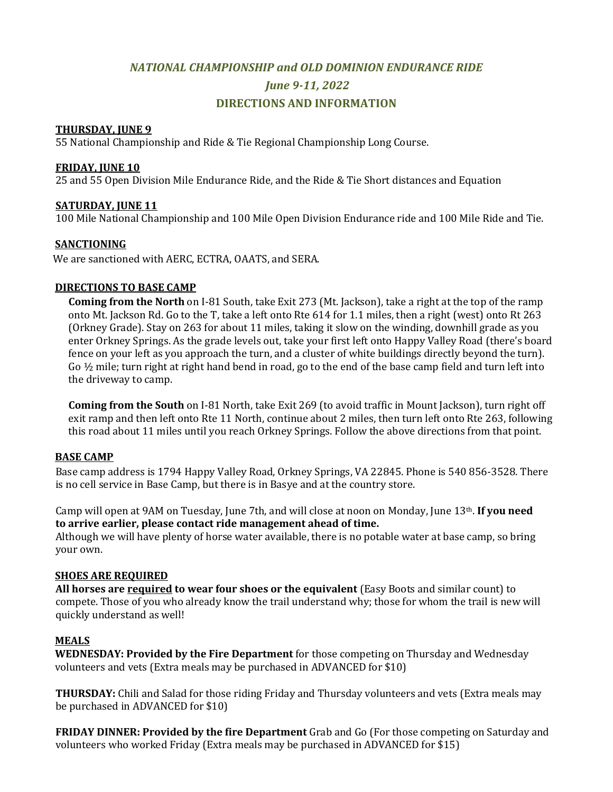# *NATIONAL CHAMPIONSHIP and OLD DOMINION ENDURANCE RIDE June 9-11, 2022* **DIRECTIONS AND INFORMATION**

#### **THURSDAY, JUNE 9**

55 National Championship and Ride & Tie Regional Championship Long Course.

## **FRIDAY, JUNE 10**

25 and 55 Open Division Mile Endurance Ride, and the Ride & Tie Short distances and Equation

## **SATURDAY, JUNE 11**

100 Mile National Championship and 100 Mile Open Division Endurance ride and 100 Mile Ride and Tie.

## **SANCTIONING**

We are sanctioned with AERC, ECTRA, OAATS, and SERA.

## **DIRECTIONS TO BASE CAMP**

**Coming from the North** on I-81 South, take Exit 273 (Mt. Jackson), take a right at the top of the ramp onto Mt. Jackson Rd. Go to the T, take a left onto Rte 614 for 1.1 miles, then a right (west) onto Rt 263 (Orkney Grade). Stay on 263 for about 11 miles, taking it slow on the winding, downhill grade as you enter Orkney Springs. As the grade levels out, take your first left onto Happy Valley Road (there's board fence on your left as you approach the turn, and a cluster of white buildings directly beyond the turn). Go  $\frac{1}{2}$  mile; turn right at right hand bend in road, go to the end of the base camp field and turn left into the driveway to camp.

**Coming from the South** on I-81 North, take Exit 269 (to avoid traffic in Mount Jackson), turn right off exit ramp and then left onto Rte 11 North, continue about 2 miles, then turn left onto Rte 263, following this road about 11 miles until you reach Orkney Springs. Follow the above directions from that point.

# **BASE CAMP**

Base camp address is 1794 Happy Valley Road, Orkney Springs, VA 22845. Phone is 540 856-3528. There is no cell service in Base Camp, but there is in Basye and at the country store.

Camp will open at 9AM on Tuesday, June 7th, and will close at noon on Monday, June 13th. **If you need to arrive earlier, please contact ride management ahead of time.**

Although we will have plenty of horse water available, there is no potable water at base camp, so bring your own.

#### **SHOES ARE REQUIRED**

**All horses are required to wear four shoes or the equivalent** (Easy Boots and similar count) to compete. Those of you who already know the trail understand why; those for whom the trail is new will quickly understand as well!

#### **MEALS**

**WEDNESDAY: Provided by the Fire Department** for those competing on Thursday and Wednesday volunteers and vets (Extra meals may be purchased in ADVANCED for \$10)

**THURSDAY:** Chili and Salad for those riding Friday and Thursday volunteers and vets (Extra meals may be purchased in ADVANCED for \$10)

**FRIDAY DINNER: Provided by the fire Department** Grab and Go (For those competing on Saturday and volunteers who worked Friday (Extra meals may be purchased in ADVANCED for \$15)